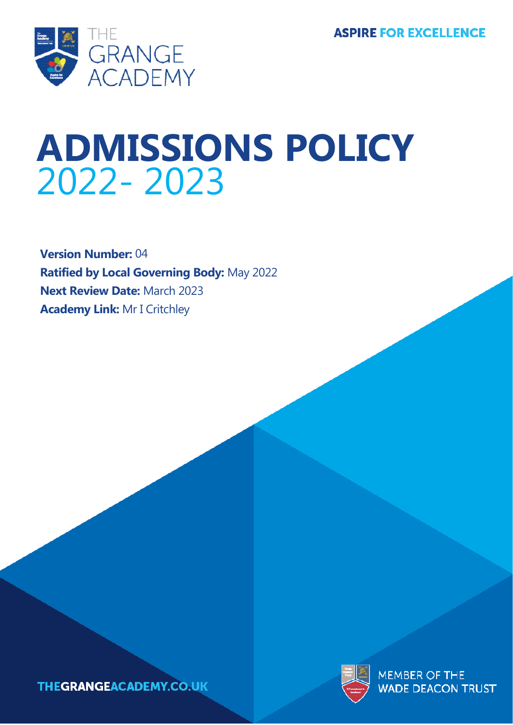

# **ADMISSIONS POLICY** 2022- 2023

**Version Number:** 04 **Ratified by Local Governing Body:** May 2022 **Next Review Date:** March 2023 **Academy Link:** Mr I Critchley



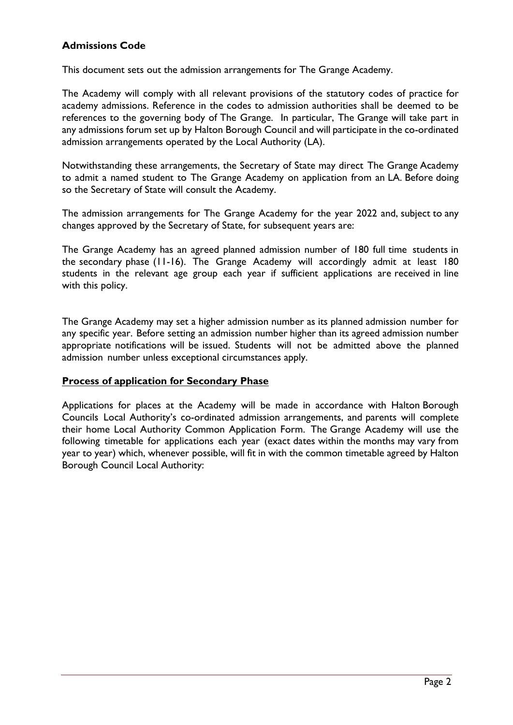## **Admissions Code**

This document sets out the admission arrangements for The Grange Academy.

The Academy will comply with all relevant provisions of the statutory codes of practice for academy admissions. Reference in the codes to admission authorities shall be deemed to be references to the governing body of The Grange. In particular, The Grange will take part in any admissions forum set up by Halton Borough Council and will participate in the co-ordinated admission arrangements operated by the Local Authority (LA).

Notwithstanding these arrangements, the Secretary of State may direct The Grange Academy to admit a named student to The Grange Academy on application from an LA. Before doing so the Secretary of State will consult the Academy.

The admission arrangements for The Grange Academy for the year 2022 and, subject to any changes approved by the Secretary of State, for subsequent years are:

The Grange Academy has an agreed planned admission number of 180 full time students in the secondary phase (11-16). The Grange Academy will accordingly admit at least 180 students in the relevant age group each year if sufficient applications are received in line with this policy.

The Grange Academy may set a higher admission number as its planned admission number for any specific year. Before setting an admission number higher than its agreed admission number appropriate notifications will be issued. Students will not be admitted above the planned admission number unless exceptional circumstances apply.

#### **Process of application for Secondary Phase**

Applications for places at the Academy will be made in accordance with Halton Borough Councils Local Authority's co-ordinated admission arrangements, and parents will complete their home Local Authority Common Application Form. The Grange Academy will use the following timetable for applications each year (exact dates within the months may vary from year to year) which, whenever possible, will fit in with the common timetable agreed by Halton Borough Council Local Authority: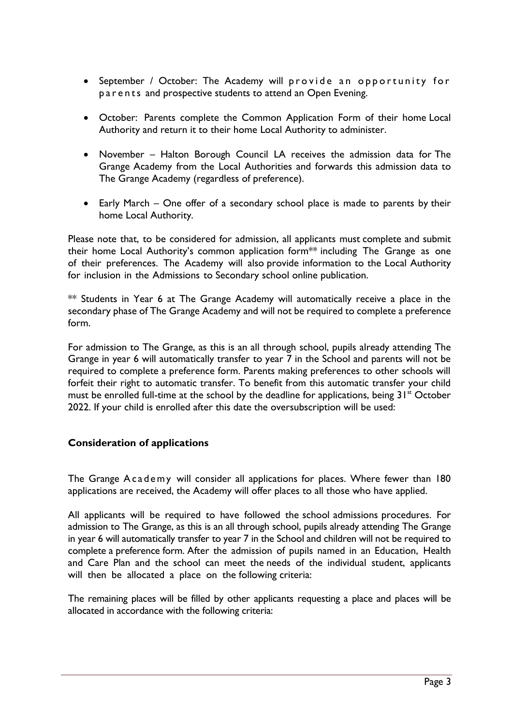- September / October: The Academy will provide an opportunity for p a r e n t s and prospective students to attend an Open Evening.
- October: Parents complete the Common Application Form of their home Local Authority and return it to their home Local Authority to administer.
- November Halton Borough Council LA receives the admission data for The Grange Academy from the Local Authorities and forwards this admission data to The Grange Academy (regardless of preference).
- Early March One offer of a secondary school place is made to parents by their home Local Authority.

Please note that, to be considered for admission, all applicants must complete and submit their home Local Authority's common application form\*\* including The Grange as one of their preferences. The Academy will also provide information to the Local Authority for inclusion in the Admissions to Secondary school online publication.

 $**$  Students in Year 6 at The Grange Academy will automatically receive a place in the secondary phase of The Grange Academy and will not be required to complete a preference form.

For admission to The Grange, as this is an all through school, pupils already attending The Grange in year 6 will automatically transfer to year 7 in the School and parents will not be required to complete a preference form. Parents making preferences to other schools will forfeit their right to automatic transfer. To benefit from this automatic transfer your child must be enrolled full-time at the school by the deadline for applications, being  $31<sup>st</sup>$  October 2022. If your child is enrolled after this date the oversubscription will be used:

#### **Consideration of applications**

The Grange Academy will consider all applications for places. Where fewer than 180 applications are received, the Academy will offer places to all those who have applied.

All applicants will be required to have followed the school admissions procedures. For admission to The Grange, as this is an all through school, pupils already attending The Grange in year 6 will automatically transfer to year 7 in the School and children will not be required to complete a preference form. After the admission of pupils named in an Education, Health and Care Plan and the school can meet the needs of the individual student, applicants will then be allocated a place on the following criteria:

The remaining places will be filled by other applicants requesting a place and places will be allocated in accordance with the following criteria: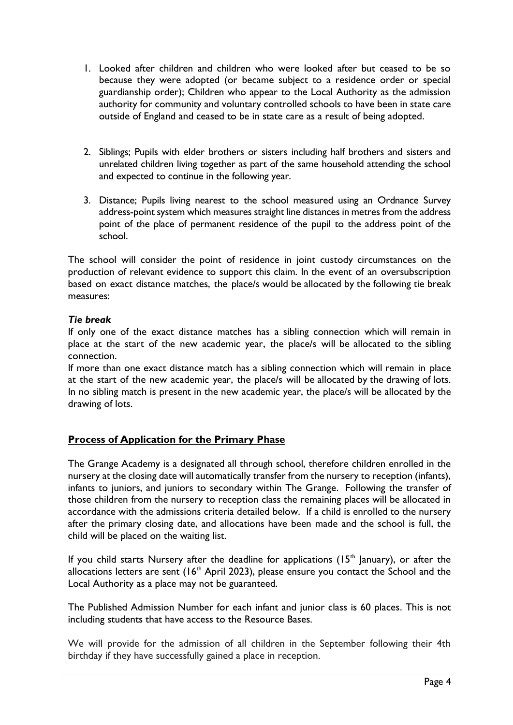- 1. Looked after children and children who were looked after but ceased to be so because they were adopted (or became subject to a residence order or special guardianship order); Children who appear to the Local Authority as the admission authority for community and voluntary controlled schools to have been in state care outside of England and ceased to be in state care as a result of being adopted.
- 2. Siblings; Pupils with elder brothers or sisters including half brothers and sisters and unrelated children living together as part of the same household attending the school and expected to continue in the following year.
- 3. Distance; Pupils living nearest to the school measured using an Ordnance Survey address-point system which measures straight line distances in metres from the address point of the place of permanent residence of the pupil to the address point of the school.

The school will consider the point of residence in joint custody circumstances on the production of relevant evidence to support this claim. In the event of an oversubscription based on exact distance matches, the place/s would be allocated by the following tie break measures:

#### *Tie break*

If only one of the exact distance matches has a sibling connection which will remain in place at the start of the new academic year, the place/s will be allocated to the sibling connection.

If more than one exact distance match has a sibling connection which will remain in place at the start of the new academic year, the place/s will be allocated by the drawing of lots. In no sibling match is present in the new academic year, the place/s will be allocated by the drawing of lots.

# **Process of Application for the Primary Phase**

The Grange Academy is a designated all through school, therefore children enrolled in the nursery at the closing date will automatically transfer from the nursery to reception (infants), infants to juniors, and juniors to secondary within The Grange. Following the transfer of those children from the nursery to reception class the remaining places will be allocated in accordance with the admissions criteria detailed below. If a child is enrolled to the nursery after the primary closing date, and allocations have been made and the school is full, the child will be placed on the waiting list.

If you child starts Nursery after the deadline for applications ( $15<sup>th</sup>$  January), or after the allocations letters are sent  $(16<sup>th</sup>$  April 2023), please ensure you contact the School and the Local Authority as a place may not be guaranteed.

The Published Admission Number for each infant and junior class is 60 places. This is not including students that have access to the Resource Bases.

We will provide for the admission of all children in the September following their 4th birthday if they have successfully gained a place in reception.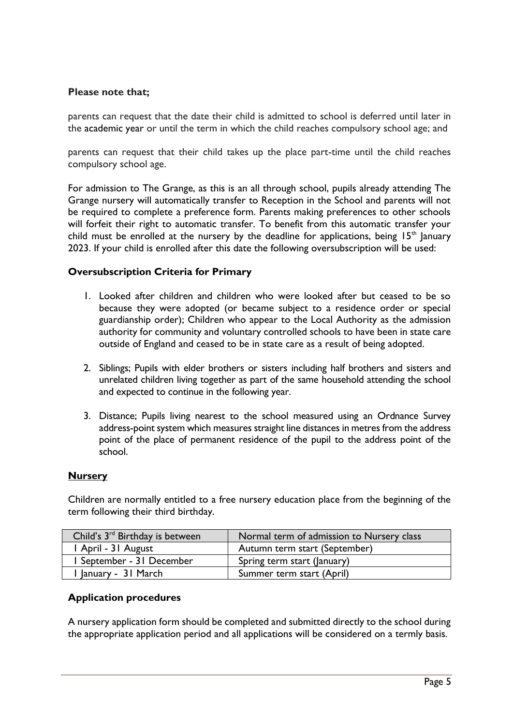#### **Please note that;**

parents can request that the date their child is admitted to school is deferred until later in the academic year or until the term in which the child reaches compulsory school age; and

parents can request that their child takes up the place part-time until the child reaches compulsory school age.

For admission to The Grange, as this is an all through school, pupils already attending The Grange nursery will automatically transfer to Reception in the School and parents will not be required to complete a preference form. Parents making preferences to other schools will forfeit their right to automatic transfer. To benefit from this automatic transfer your child must be enrolled at the nursery by the deadline for applications, being  $15<sup>th</sup>$  January 2023. If your child is enrolled after this date the following oversubscription will be used:

#### **Oversubscription Criteria for Primary**

- 1. Looked after children and children who were looked after but ceased to be so because they were adopted (or became subject to a residence order or special guardianship order); Children who appear to the Local Authority as the admission authority for community and voluntary controlled schools to have been in state care outside of England and ceased to be in state care as a result of being adopted.
- 2. Siblings; Pupils with elder brothers or sisters including half brothers and sisters and unrelated children living together as part of the same household attending the school and expected to continue in the following year.
- 3. Distance; Pupils living nearest to the school measured using an Ordnance Survey address-point system which measures straight line distances in metres from the address point of the place of permanent residence of the pupil to the address point of the school.

#### **Nursery**

Children are normally entitled to a free nursery education place from the beginning of the term following their third birthday.

| Child's 3 <sup>rd</sup> Birthday is between | Normal term of admission to Nursery class |
|---------------------------------------------|-------------------------------------------|
| I April - 31 August                         | Autumn term start (September)             |
| September - 31 December                     | Spring term start (January)               |
| 'January - 31 March                         | Summer term start (April)                 |

#### **Application procedures**

A nursery application form should be completed and submitted directly to the school during the appropriate application period and all applications will be considered on a termly basis.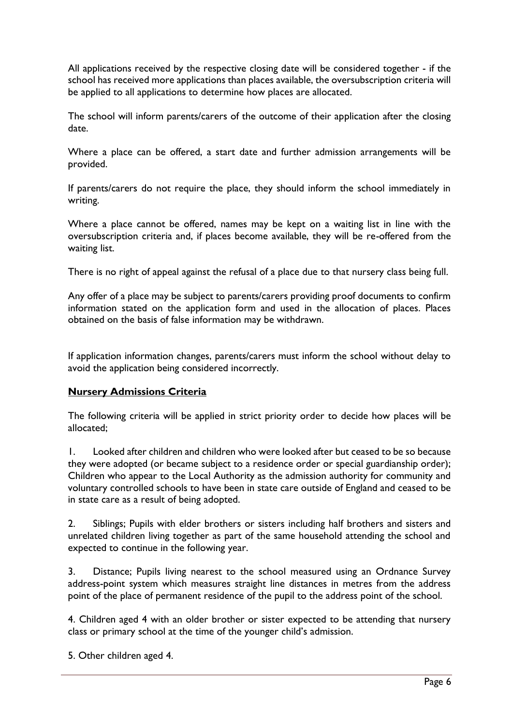All applications received by the respective closing date will be considered together - if the school has received more applications than places available, the oversubscription criteria will be applied to all applications to determine how places are allocated.

The school will inform parents/carers of the outcome of their application after the closing date.

Where a place can be offered, a start date and further admission arrangements will be provided.

If parents/carers do not require the place, they should inform the school immediately in writing.

Where a place cannot be offered, names may be kept on a waiting list in line with the oversubscription criteria and, if places become available, they will be re-offered from the waiting list.

There is no right of appeal against the refusal of a place due to that nursery class being full.

Any offer of a place may be subject to parents/carers providing proof documents to confirm information stated on the application form and used in the allocation of places. Places obtained on the basis of false information may be withdrawn.

If application information changes, parents/carers must inform the school without delay to avoid the application being considered incorrectly.

#### **Nursery Admissions Criteria**

The following criteria will be applied in strict priority order to decide how places will be allocated;

1. Looked after children and children who were looked after but ceased to be so because they were adopted (or became subject to a residence order or special guardianship order); Children who appear to the Local Authority as the admission authority for community and voluntary controlled schools to have been in state care outside of England and ceased to be in state care as a result of being adopted.

2. Siblings; Pupils with elder brothers or sisters including half brothers and sisters and unrelated children living together as part of the same household attending the school and expected to continue in the following year.

3. Distance; Pupils living nearest to the school measured using an Ordnance Survey address-point system which measures straight line distances in metres from the address point of the place of permanent residence of the pupil to the address point of the school.

4. Children aged 4 with an older brother or sister expected to be attending that nursery class or primary school at the time of the younger child's admission.

5. Other children aged 4.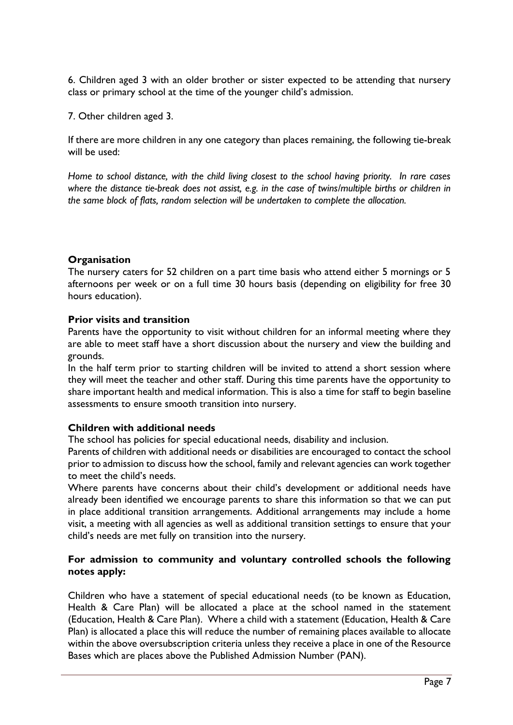6. Children aged 3 with an older brother or sister expected to be attending that nursery class or primary school at the time of the younger child's admission.

7. Other children aged 3.

If there are more children in any one category than places remaining, the following tie-break will be used:

*Home to school distance, with the child living closest to the school having priority. In rare cases where the distance tie-break does not assist, e.g. in the case of twins/multiple births or children in the same block of flats, random selection will be undertaken to complete the allocation.*

#### **Organisation**

The nursery caters for 52 children on a part time basis who attend either 5 mornings or 5 afternoons per week or on a full time 30 hours basis (depending on eligibility for free 30 hours education).

#### **Prior visits and transition**

Parents have the opportunity to visit without children for an informal meeting where they are able to meet staff have a short discussion about the nursery and view the building and grounds.

In the half term prior to starting children will be invited to attend a short session where they will meet the teacher and other staff. During this time parents have the opportunity to share important health and medical information. This is also a time for staff to begin baseline assessments to ensure smooth transition into nursery.

#### **Children with additional needs**

The school has policies for special educational needs, disability and inclusion.

Parents of children with additional needs or disabilities are encouraged to contact the school prior to admission to discuss how the school, family and relevant agencies can work together to meet the child's needs.

Where parents have concerns about their child's development or additional needs have already been identified we encourage parents to share this information so that we can put in place additional transition arrangements. Additional arrangements may include a home visit, a meeting with all agencies as well as additional transition settings to ensure that your child's needs are met fully on transition into the nursery.

#### **For admission to community and voluntary controlled schools the following notes apply:**

Children who have a statement of special educational needs (to be known as Education, Health & Care Plan) will be allocated a place at the school named in the statement (Education, Health & Care Plan). Where a child with a statement (Education, Health & Care Plan) is allocated a place this will reduce the number of remaining places available to allocate within the above oversubscription criteria unless they receive a place in one of the Resource Bases which are places above the Published Admission Number (PAN).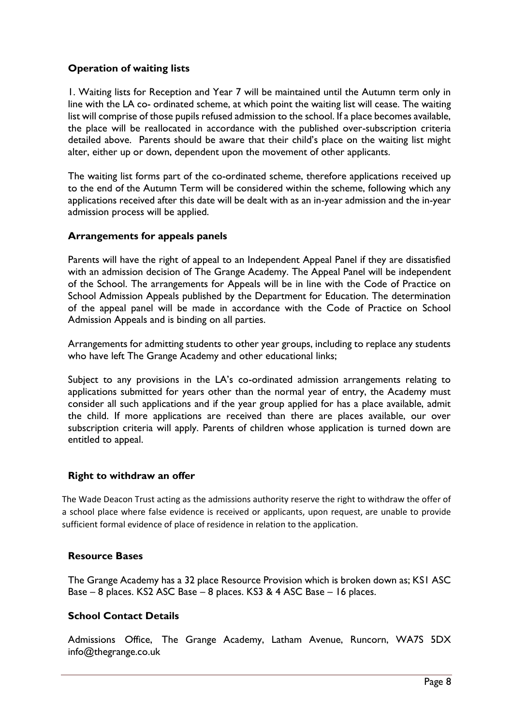## **Operation of waiting lists**

1. Waiting lists for Reception and Year 7 will be maintained until the Autumn term only in line with the LA co- ordinated scheme, at which point the waiting list will cease. The waiting list will comprise of those pupils refused admission to the school. If a place becomes available, the place will be reallocated in accordance with the published over-subscription criteria detailed above. Parents should be aware that their child's place on the waiting list might alter, either up or down, dependent upon the movement of other applicants.

The waiting list forms part of the co-ordinated scheme, therefore applications received up to the end of the Autumn Term will be considered within the scheme, following which any applications received after this date will be dealt with as an in-year admission and the in-year admission process will be applied.

#### **Arrangements for appeals panels**

Parents will have the right of appeal to an Independent Appeal Panel if they are dissatisfied with an admission decision of The Grange Academy. The Appeal Panel will be independent of the School. The arrangements for Appeals will be in line with the Code of Practice on School Admission Appeals published by the Department for Education. The determination of the appeal panel will be made in accordance with the Code of Practice on School Admission Appeals and is binding on all parties.

Arrangements for admitting students to other year groups, including to replace any students who have left The Grange Academy and other educational links;

Subject to any provisions in the LA's co-ordinated admission arrangements relating to applications submitted for years other than the normal year of entry, the Academy must consider all such applications and if the year group applied for has a place available, admit the child. If more applications are received than there are places available, our over subscription criteria will apply. Parents of children whose application is turned down are entitled to appeal.

#### **Right to withdraw an offer**

The Wade Deacon Trust acting as the admissions authority reserve the right to withdraw the offer of a school place where false evidence is received or applicants, upon request, are unable to provide sufficient formal evidence of place of residence in relation to the application.

#### **Resource Bases**

The Grange Academy has a 32 place Resource Provision which is broken down as; KS1 ASC Base – 8 places. KS2 ASC Base – 8 places. KS3 & 4 ASC Base – 16 places.

#### **School Contact Details**

Admissions Office, The Grange Academy, Latham Avenue, Runcorn, WA7S 5D[X](mailto:info@thegrange.com) [info@thegrange.co.](mailto:info@thegrange.com)uk